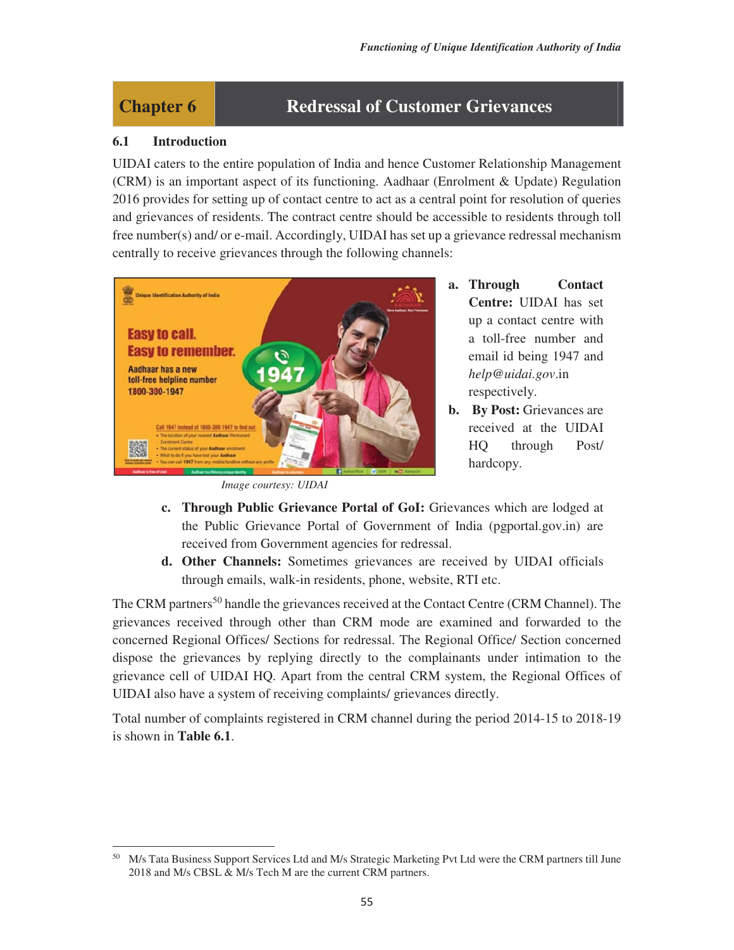# **Chapter 6 Redressal of Customer Grievances**

#### **6.1 Introduction**

UIDAI caters to the entire population of India and hence Customer Relationship Management (CRM) is an important aspect of its functioning. Aadhaar (Enrolment & Update) Regulation 2016 provides for setting up of contact centre to act as a central point for resolution of queries and grievances of residents. The contract centre should be accessible to residents through toll free number(s) and/ or e-mail. Accordingly, UIDAI has set up a grievance redressal mechanism centrally to receive grievances through the following channels:



*Image courtesy: UIDAI* 

- **a. Through Contact Centre:** UIDAI has set up a contact centre with a toll-free number and email id being 1947 and *help@uidai.gov*.in respectively.
- **b.** By Post: Grievances are received at the UIDAI HQ through Post/ hardcopy.
- **c. Through Public Grievance Portal of GoI:** Grievances which are lodged at the Public Grievance Portal of Government of India (pgportal.gov.in) are received from Government agencies for redressal.
- **d. Other Channels:** Sometimes grievances are received by UIDAI officials through emails, walk-in residents, phone, website, RTI etc.

The CRM partners<sup>50</sup> handle the grievances received at the Contact Centre (CRM Channel). The grievances received through other than CRM mode are examined and forwarded to the concerned Regional Offices/ Sections for redressal. The Regional Office/ Section concerned dispose the grievances by replying directly to the complainants under intimation to the grievance cell of UIDAI HQ. Apart from the central CRM system, the Regional Offices of UIDAI also have a system of receiving complaints/ grievances directly.

Total number of complaints registered in CRM channel during the period 2014-15 to 2018-19 is shown in **Table 6.1**.

M/s Tata Business Support Services Ltd and M/s Strategic Marketing Pvt Ltd were the CRM partners till June 2018 and M/s CBSL & M/s Tech M are the current CRM partners.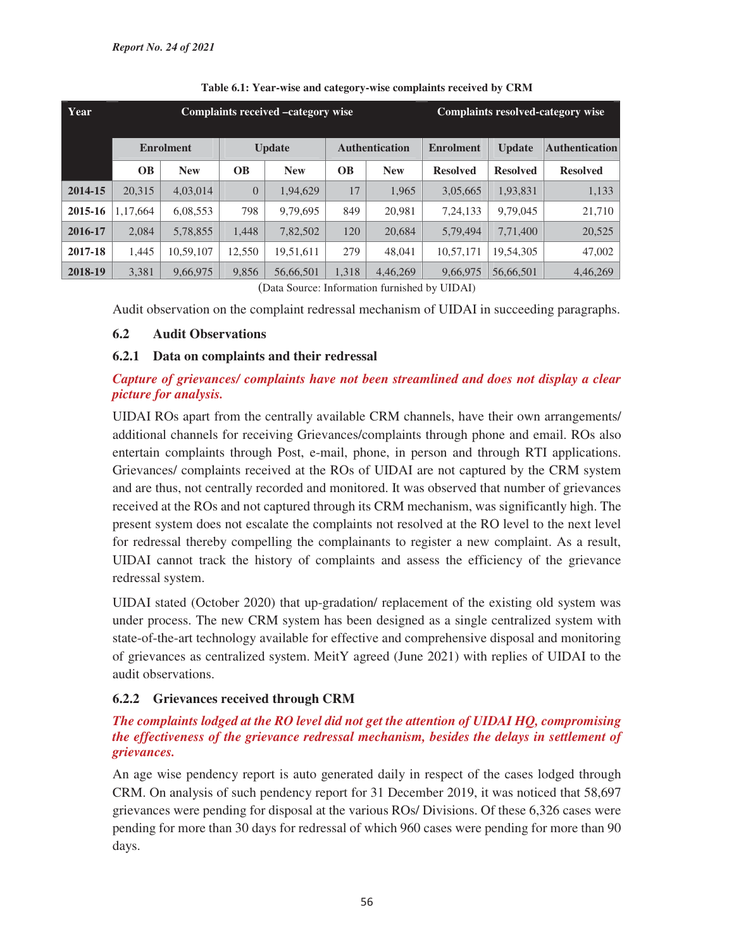| Year    | Complaints received -category wise |            |                |            |                       |            | <b>Complaints resolved-category wise</b> |                 |                       |
|---------|------------------------------------|------------|----------------|------------|-----------------------|------------|------------------------------------------|-----------------|-----------------------|
|         | <b>Enrolment</b>                   |            | <b>Update</b>  |            | <b>Authentication</b> |            | <b>Enrolment</b>                         | <b>Update</b>   | <b>Authentication</b> |
|         | <b>OB</b>                          | <b>New</b> | <b>OB</b>      | <b>New</b> | <b>OB</b>             | <b>New</b> | <b>Resolved</b>                          | <b>Resolved</b> | <b>Resolved</b>       |
| 2014-15 | 20,315                             | 4,03,014   | $\overline{0}$ | 1,94,629   | 17                    | 1,965      | 3,05,665                                 | 1,93,831        | 1,133                 |
| 2015-16 | 1,17,664                           | 6,08,553   | 798            | 9,79,695   | 849                   | 20,981     | 7,24,133                                 | 9,79,045        | 21,710                |
| 2016-17 | 2,084                              | 5,78,855   | 1,448          | 7,82,502   | 120                   | 20.684     | 5,79,494                                 | 7,71,400        | 20,525                |
| 2017-18 | 1,445                              | 10,59,107  | 12,550         | 19,51,611  | 279                   | 48,041     | 10,57,171                                | 19,54,305       | 47,002                |
| 2018-19 | 3,381                              | 9,66,975   | 9,856          | 56,66,501  | 1,318                 | 4,46,269   | 9,66,975                                 | 56,66,501       | 4,46,269              |

#### **Table 6.1: Year-wise and category-wise complaints received by CRM**

(Data Source: Information furnished by UIDAI)

Audit observation on the complaint redressal mechanism of UIDAI in succeeding paragraphs.

### **6.2 Audit Observations**

### **6.2.1 Data on complaints and their redressal**

# *Capture of grievances/ complaints have not been streamlined and does not display a clear picture for analysis.*

UIDAI ROs apart from the centrally available CRM channels, have their own arrangements/ additional channels for receiving Grievances/complaints through phone and email. ROs also entertain complaints through Post, e-mail, phone, in person and through RTI applications. Grievances/ complaints received at the ROs of UIDAI are not captured by the CRM system and are thus, not centrally recorded and monitored. It was observed that number of grievances received at the ROs and not captured through its CRM mechanism, was significantly high. The present system does not escalate the complaints not resolved at the RO level to the next level for redressal thereby compelling the complainants to register a new complaint. As a result, UIDAI cannot track the history of complaints and assess the efficiency of the grievance redressal system.

UIDAI stated (October 2020) that up-gradation/ replacement of the existing old system was under process. The new CRM system has been designed as a single centralized system with state-of-the-art technology available for effective and comprehensive disposal and monitoring of grievances as centralized system. MeitY agreed (June 2021) with replies of UIDAI to the audit observations.

## **6.2.2 Grievances received through CRM**

### *The complaints lodged at the RO level did not get the attention of UIDAI HQ, compromising the effectiveness of the grievance redressal mechanism, besides the delays in settlement of grievances.*

An age wise pendency report is auto generated daily in respect of the cases lodged through CRM. On analysis of such pendency report for 31 December 2019, it was noticed that 58,697 grievances were pending for disposal at the various ROs/ Divisions. Of these 6,326 cases were pending for more than 30 days for redressal of which 960 cases were pending for more than 90 days.